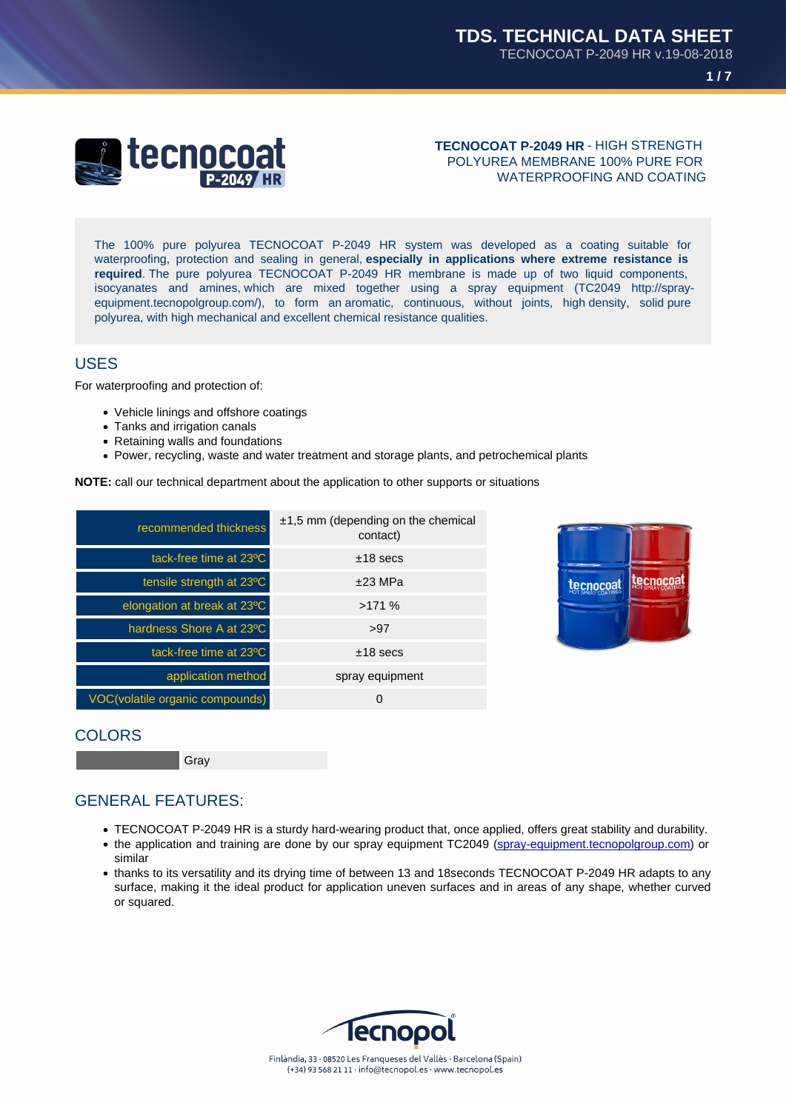### TECNOCOAT P-2049 HR - HIGH STRENGTH POLYUREA MEMBRANE 100% PURE FOR WATERPROOFING AND COATING

The 100% pure polyurea TECNOCOAT P-2049 HR system was developed as a coating suitable for waterproofing, protection and sealing in general, especially in applications where extreme resistance is required . The pure polyurea TECNOCOAT P-2049 HR membrane is made up of two liquid components, isocyanates and amines, which are mixed together using a spray equipment (TC2049 http://sprayequipment.tecnopolgroup.com/), to form an aromatic, continuous, without joints, high density, solid pure polyurea, with high mechanical and excellent chemical resistance qualities.

## USES

For waterproofing and protection of:

- Vehicle linings and offshore coatings
- Tanks and irrigation canals
- Retaining walls and foundations
- Power, recycling, waste and water treatment and storage plants, and petrochemical plants

NOTE: call our technical department about the application to other supports or situations

| recommended thickness           | $\pm$ 1,5 mm (depending on the chemical<br>contact) |  |
|---------------------------------|-----------------------------------------------------|--|
| tack-free time at 23°C          | $±18$ secs                                          |  |
| tensile strength at 23°C        | $±23$ MPa                                           |  |
| elongation at break at 23°C     | >171%                                               |  |
| hardness Shore A at 23°C        | >97                                                 |  |
| tack-free time at 23°C          | $±18$ secs                                          |  |
| application method              | spray equipment                                     |  |
| VOC(volatile organic compounds) | 0                                                   |  |

### **COLORS**

Gray

## GENERAL FEATURES:

- TECNOCOAT P-2049 HR is a sturdy hard-wearing product that, once applied, offers great stability and durability.
- the application and training are done by our spray equipment TC2049 (spray-equipment.tecnopolgroup.com) or similar
- thanks to its versatility and its drying time of between 13 and 18seconds TECNOCOAT P-2049 HR adapts to any surface, making it the ideal product for application uneven surfaces and in areas of any shape, whether curved or squared.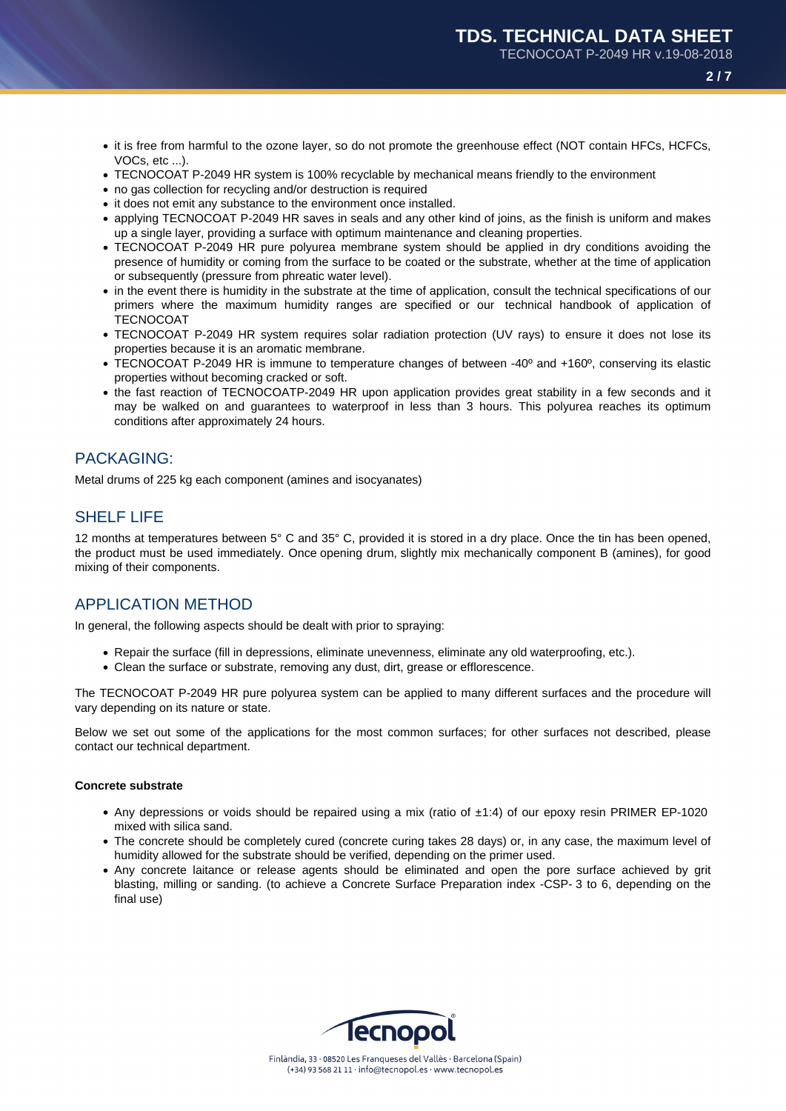TECNOCOAT P-2049 HR v.19-08-2018

- **2 / 7**
- it is free from harmful to the ozone layer, so do not promote the greenhouse effect (NOT contain HFCs, HCFCs, VOCs, etc ...).
- TECNOCOAT P-2049 HR system is 100% recyclable by mechanical means friendly to the environment
- no gas collection for recycling and/or destruction is required
- it does not emit any substance to the environment once installed.
- applying TECNOCOAT P-2049 HR saves in seals and any other kind of joins, as the finish is uniform and makes up a single layer, providing a surface with optimum maintenance and cleaning properties.
- TECNOCOAT P-2049 HR pure polyurea membrane system should be applied in dry conditions avoiding the presence of humidity or coming from the surface to be coated or the substrate, whether at the time of application or subsequently (pressure from phreatic water level).
- in the event there is humidity in the substrate at the time of application, consult the technical specifications of our primers where the maximum humidity ranges are specified or our technical handbook of application of **TECNOCOAT**
- TECNOCOAT P-2049 HR system requires solar radiation protection (UV rays) to ensure it does not lose its properties because it is an aromatic membrane.
- TECNOCOAT P-2049 HR is immune to temperature changes of between -40º and +160º, conserving its elastic properties without becoming cracked or soft.
- the fast reaction of TECNOCOATP-2049 HR upon application provides great stability in a few seconds and it may be walked on and guarantees to waterproof in less than 3 hours. This polyurea reaches its optimum conditions after approximately 24 hours.

## PACKAGING:

Metal drums of 225 kg each component (amines and isocyanates)

## SHELF LIFE

12 months at temperatures between 5° C and 35° C, provided it is stored in a dry place. Once the tin has been opened, the product must be used immediately. Once opening drum, slightly mix mechanically component B (amines), for good mixing of their components.

### APPLICATION METHOD

In general, the following aspects should be dealt with prior to spraying:

- Repair the surface (fill in depressions, eliminate unevenness, eliminate any old waterproofing, etc.).
- Clean the surface or substrate, removing any dust, dirt, grease or efflorescence.

The TECNOCOAT P-2049 HR pure polyurea system can be applied to many different surfaces and the procedure will vary depending on its nature or state.

Below we set out some of the applications for the most common surfaces; for other surfaces not described, please contact our technical department.

### **Concrete substrate**

- Any depressions or voids should be repaired using a mix (ratio of ±1:4) of our epoxy resin PRIMER EP-1020 mixed with silica sand.
- The concrete should be completely cured (concrete curing takes 28 days) or, in any case, the maximum level of humidity allowed for the substrate should be verified, depending on the primer used.
- Any concrete laitance or release agents should be eliminated and open the pore surface achieved by grit blasting, milling or sanding. (to achieve a Concrete Surface Preparation index -CSP- 3 to 6, depending on the final use)

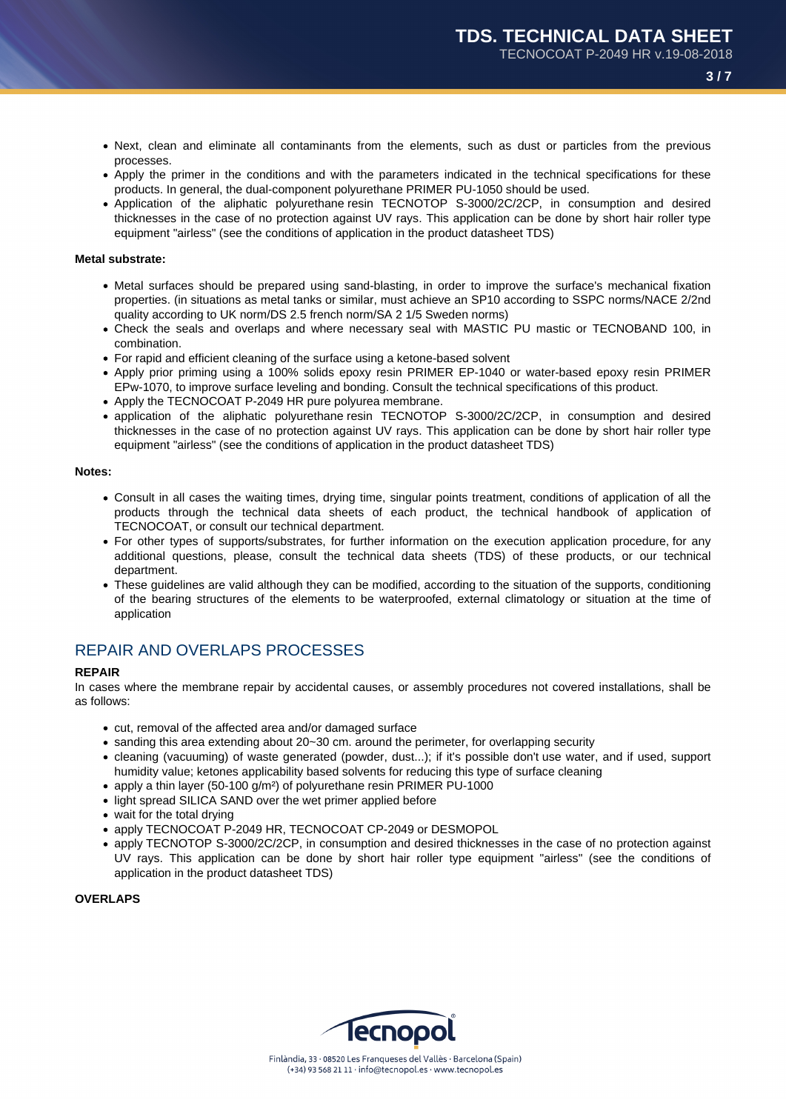- Next, clean and eliminate all contaminants from the elements, such as dust or particles from the previous processes.
- Apply the primer in the conditions and with the parameters indicated in the technical specifications for these products. In general, the dual-component polyurethane PRIMER PU-1050 should be used.
- Application of the aliphatic polyurethane resin TECNOTOP S-3000/2C/2CP, in consumption and desired thicknesses in the case of no protection against UV rays. This application can be done by short hair roller type equipment "airless" (see the conditions of application in the product datasheet TDS)

### **Metal substrate:**

- Metal surfaces should be prepared using sand-blasting, in order to improve the surface's mechanical fixation properties. (in situations as metal tanks or similar, must achieve an SP10 according to SSPC norms/NACE 2/2nd quality according to UK norm/DS 2.5 french norm/SA 2 1/5 Sweden norms)
- Check the seals and overlaps and where necessary seal with MASTIC PU mastic or TECNOBAND 100, in combination.
- For rapid and efficient cleaning of the surface using a ketone-based solvent
- Apply prior priming using a 100% solids epoxy resin PRIMER EP-1040 or water-based epoxy resin PRIMER EPw-1070, to improve surface leveling and bonding. Consult the technical specifications of this product.
- Apply the TECNOCOAT P-2049 HR pure polyurea membrane.
- application of the aliphatic polyurethane resin TECNOTOP S-3000/2C/2CP, in consumption and desired thicknesses in the case of no protection against UV rays. This application can be done by short hair roller type equipment "airless" (see the conditions of application in the product datasheet TDS)

#### **Notes:**

- Consult in all cases the waiting times, drying time, singular points treatment, conditions of application of all the products through the technical data sheets of each product, the technical handbook of application of TECNOCOAT, or consult our technical department.
- For other types of supports/substrates, for further information on the execution application procedure, for any additional questions, please, consult the technical data sheets (TDS) of these products, or our technical department.
- These guidelines are valid although they can be modified, according to the situation of the supports, conditioning of the bearing structures of the elements to be waterproofed, external climatology or situation at the time of application

### REPAIR AND OVERLAPS PROCESSES

#### **REPAIR**

In cases where the membrane repair by accidental causes, or assembly procedures not covered installations, shall be as follows:

- cut, removal of the affected area and/or damaged surface
- sanding this area extending about 20~30 cm. around the perimeter, for overlapping security
- cleaning (vacuuming) of waste generated (powder, dust...); if it's possible don't use water, and if used, support humidity value; ketones applicability based solvents for reducing this type of surface cleaning
- apply a thin layer (50-100 g/m<sup>2</sup>) of polyurethane resin PRIMER PU-1000
- light spread SILICA SAND over the wet primer applied before
- wait for the total drying
- apply TECNOCOAT P-2049 HR, TECNOCOAT CP-2049 or DESMOPOL
- apply TECNOTOP S-3000/2C/2CP, in consumption and desired thicknesses in the case of no protection against UV rays. This application can be done by short hair roller type equipment "airless" (see the conditions of application in the product datasheet TDS)

**OVERLAPS**

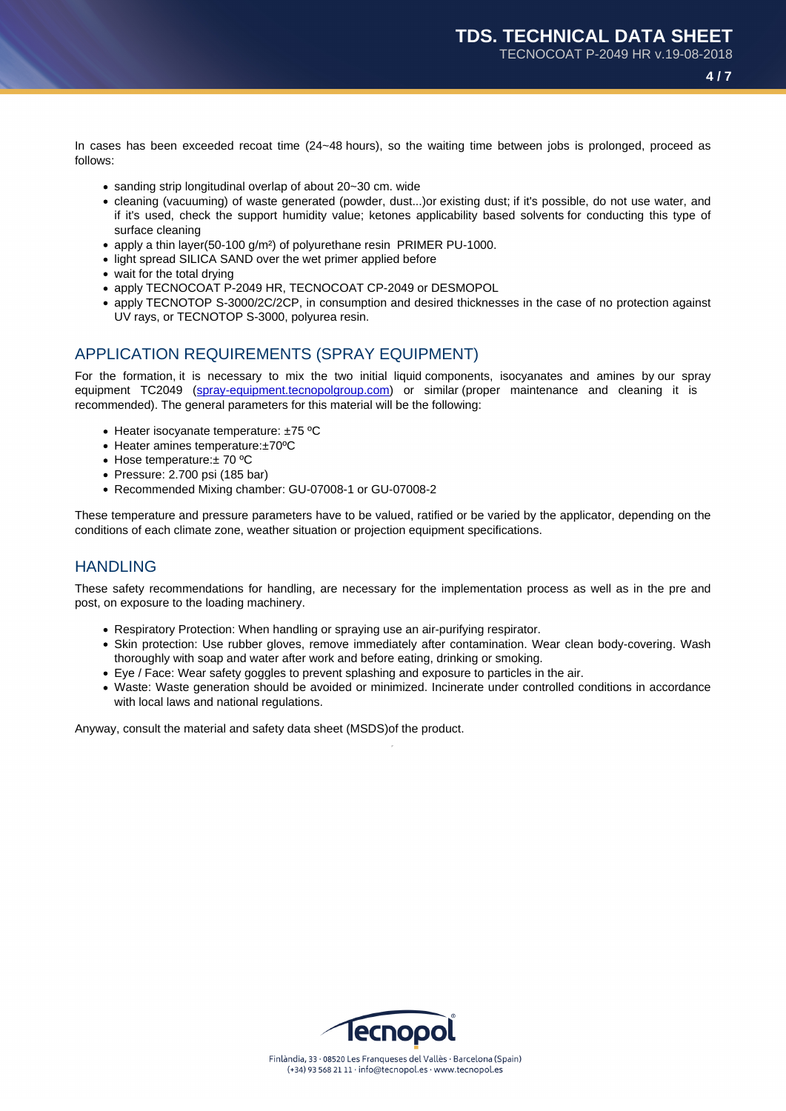In cases has been exceeded recoat time (24~48 hours), so the waiting time between jobs is prolonged, proceed as follows:

- sanding strip longitudinal overlap of about 20~30 cm. wide
- cleaning (vacuuming) of waste generated (powder, dust...)or existing dust; if it's possible, do not use water, and if it's used, check the support humidity value; ketones applicability based solvents for conducting this type of surface cleaning
- apply a thin layer(50-100 g/m<sup>2</sup>) of polyurethane resin PRIMER PU-1000.
- light spread SILICA SAND over the wet primer applied before
- wait for the total drying
- apply TECNOCOAT P-2049 HR, TECNOCOAT CP-2049 or DESMOPOL
- apply TECNOTOP S-3000/2C/2CP, in consumption and desired thicknesses in the case of no protection against UV rays, or TECNOTOP S-3000, polyurea resin.

## APPLICATION REQUIREMENTS (SPRAY EQUIPMENT)

For the formation, it is necessary to mix the two initial liquid components, isocyanates and amines by our spray equipment TC2049 (spray-equipment.tecnopolgroup.com) or similar (proper maintenance and cleaning it is recommended). The general parameters for this material will be the following:

- Heater isocyanate temperature: ±75 °C
- Heater amines temperature:±70ºC
- Hose temperature: ± 70 °C
- Pressure: 2.700 psi (185 bar)
- Recommended Mixing chamber: GU-07008-1 or GU-07008-2

These temperature and pressure parameters have to be valued, ratified or be varied by the applicator, depending on the conditions of each climate zone, weather situation or projection equipment specifications.

### HANDLING

These safety recommendations for handling, are necessary for the implementation process as well as in the pre and post, on exposure to the loading machinery.

- Respiratory Protection: When handling or spraying use an air-purifying respirator.
- Skin protection: Use rubber gloves, remove immediately after contamination. Wear clean body-covering. Wash thoroughly with soap and water after work and before eating, drinking or smoking.
- Eye / Face: Wear safety goggles to prevent splashing and exposure to particles in the air.
- Waste: Waste generation should be avoided or minimized. Incinerate under controlled conditions in accordance with local laws and national regulations.

Anyway, consult the material and safety data sheet (MSDS)of the product.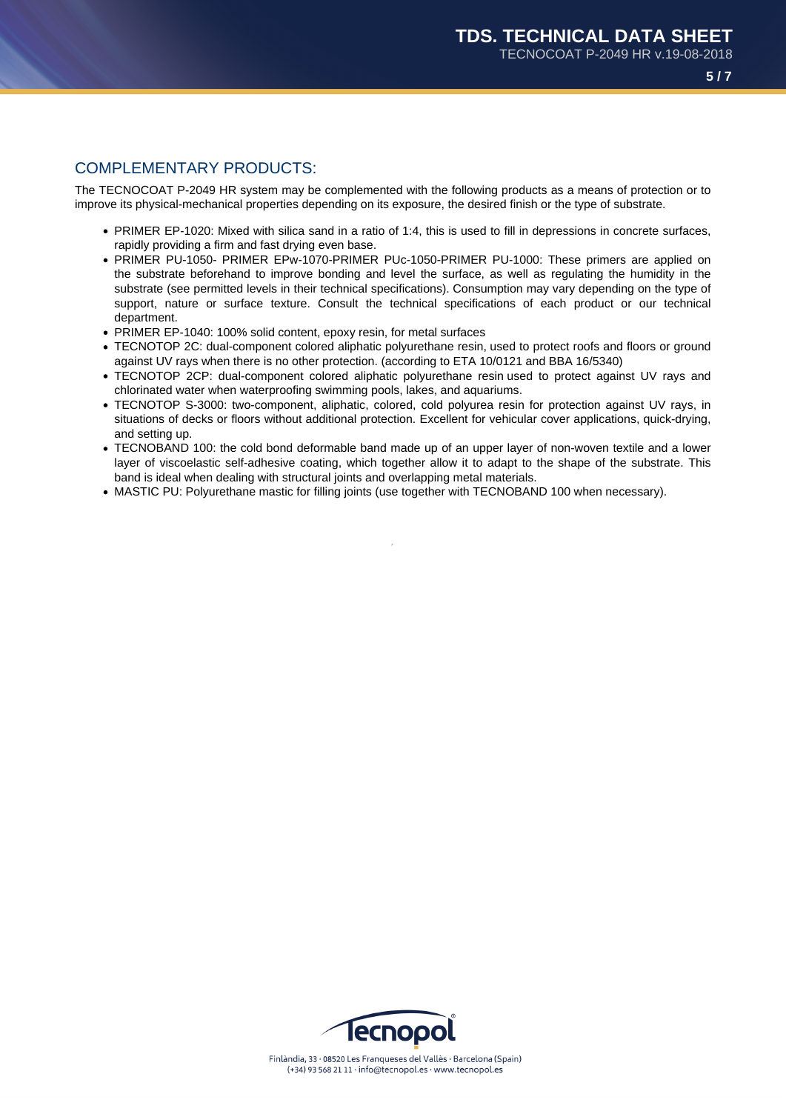### COMPLEMENTARY PRODUCTS:

The TECNOCOAT P-2049 HR system may be complemented with the following products as a means of protection or to improve its physical-mechanical properties depending on its exposure, the desired finish or the type of substrate.

- PRIMER EP-1020: Mixed with silica sand in a ratio of 1:4, this is used to fill in depressions in concrete surfaces, rapidly providing a firm and fast drying even base.
- PRIMER PU-1050- PRIMER EPw-1070-PRIMER PUc-1050-PRIMER PU-1000: These primers are applied on the substrate beforehand to improve bonding and level the surface, as well as regulating the humidity in the substrate (see permitted levels in their technical specifications). Consumption may vary depending on the type of support, nature or surface texture. Consult the technical specifications of each product or our technical department.
- PRIMER EP-1040: 100% solid content, epoxy resin, for metal surfaces
- TECNOTOP 2C: dual-component colored aliphatic polyurethane resin, used to protect roofs and floors or ground against UV rays when there is no other protection. (according to ETA 10/0121 and BBA 16/5340)
- TECNOTOP 2CP: dual-component colored aliphatic polyurethane resin used to protect against UV rays and chlorinated water when waterproofing swimming pools, lakes, and aquariums.
- TECNOTOP S-3000: two-component, aliphatic, colored, cold polyurea resin for protection against UV rays, in situations of decks or floors without additional protection. Excellent for vehicular cover applications, quick-drying, and setting up.
- TECNOBAND 100: the cold bond deformable band made up of an upper layer of non-woven textile and a lower layer of viscoelastic self-adhesive coating, which together allow it to adapt to the shape of the substrate. This band is ideal when dealing with structural joints and overlapping metal materials.
- MASTIC PU: Polyurethane mastic for filling joints (use together with TECNOBAND 100 when necessary).

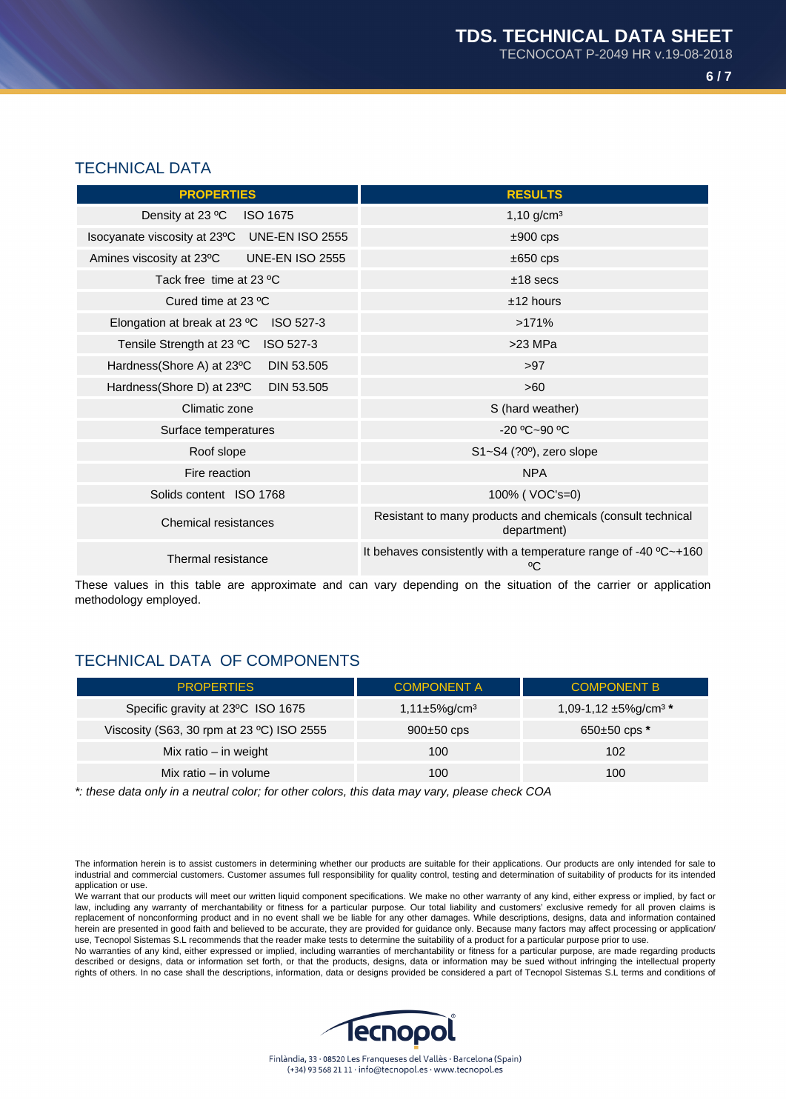## TECHNICAL DATA

| <b>PROPERTIES</b>                                      | <b>RESULTS</b>                                                                         |  |
|--------------------------------------------------------|----------------------------------------------------------------------------------------|--|
| Density at 23 °C<br><b>ISO 1675</b>                    | $1,10$ g/cm <sup>3</sup>                                                               |  |
| <b>UNE-EN ISO 2555</b><br>Isocyanate viscosity at 23°C | $±900$ cps                                                                             |  |
| Amines viscosity at 23°C<br><b>UNE-EN ISO 2555</b>     | $\pm 650$ cps                                                                          |  |
| Tack free time at 23 °C                                | $±18$ secs                                                                             |  |
| Cured time at 23 °C                                    | $±12$ hours                                                                            |  |
| Elongation at break at 23 °C<br>ISO 527-3              | >171%                                                                                  |  |
| Tensile Strength at 23 °C ISO 527-3                    | $>23$ MPa                                                                              |  |
| Hardness(Shore A) at 23°C<br>DIN 53.505                | >97                                                                                    |  |
| DIN 53.505<br>Hardness(Shore D) at 23°C                | >60                                                                                    |  |
| Climatic zone                                          | S (hard weather)                                                                       |  |
| Surface temperatures                                   | $-20 °C - 90 °C$                                                                       |  |
| Roof slope                                             | $S1 - S4$ (?0 $\degree$ ), zero slope                                                  |  |
| Fire reaction                                          | <b>NPA</b>                                                                             |  |
| Solids content ISO 1768                                | 100% (VOC's=0)                                                                         |  |
| <b>Chemical resistances</b>                            | Resistant to many products and chemicals (consult technical<br>department)             |  |
| Thermal resistance                                     | It behaves consistently with a temperature range of -40 $^{\circ}$ C $\sim$ +160<br>°C |  |

These values in this table are approximate and can vary depending on the situation of the carrier or application methodology employed.

# TECHNICAL DATA OF COMPONENTS

| <b>PROPERTIES</b>                         | <b>COMPONENT A</b>             | <b>COMPONENT B</b>                    |
|-------------------------------------------|--------------------------------|---------------------------------------|
| Specific gravity at 23°C ISO 1675         | $1,11\pm5\%$ g/cm <sup>3</sup> | 1,09-1,12 $\pm$ 5%g/cm <sup>3 *</sup> |
| Viscosity (S63, 30 rpm at 23 °C) ISO 2555 | $900\pm50$ cps                 | $650\pm50$ cps $*$                    |
| Mix ratio $-$ in weight                   | 100                            | 102                                   |
| Mix ratio $-$ in volume                   | 100                            | 100                                   |

\*: these data only in a neutral color; for other colors, this data may vary, please check COA

The information herein is to assist customers in determining whether our products are suitable for their applications. Our products are only intended for sale to industrial and commercial customers. Customer assumes full responsibility for quality control, testing and determination of suitability of products for its intended application or use.

We warrant that our products will meet our written liquid component specifications. We make no other warranty of any kind, either express or implied, by fact or law, including any warranty of merchantability or fitness for a particular purpose. Our total liability and customers' exclusive remedy for all proven claims is replacement of nonconforming product and in no event shall we be liable for any other damages. While descriptions, designs, data and information contained herein are presented in good faith and believed to be accurate, they are provided for guidance only. Because many factors may affect processing or application/ use, Tecnopol Sistemas S.L recommends that the reader make tests to determine the suitability of a product for a particular purpose prior to use.

No warranties of any kind, either expressed or implied, including warranties of merchantability or fitness for a particular purpose, are made regarding products described or designs, data or information set forth, or that the products, designs, data or information may be sued without infringing the intellectual property rights of others. In no case shall the descriptions, information, data or designs provided be considered a part of Tecnopol Sistemas S.L terms and conditions of